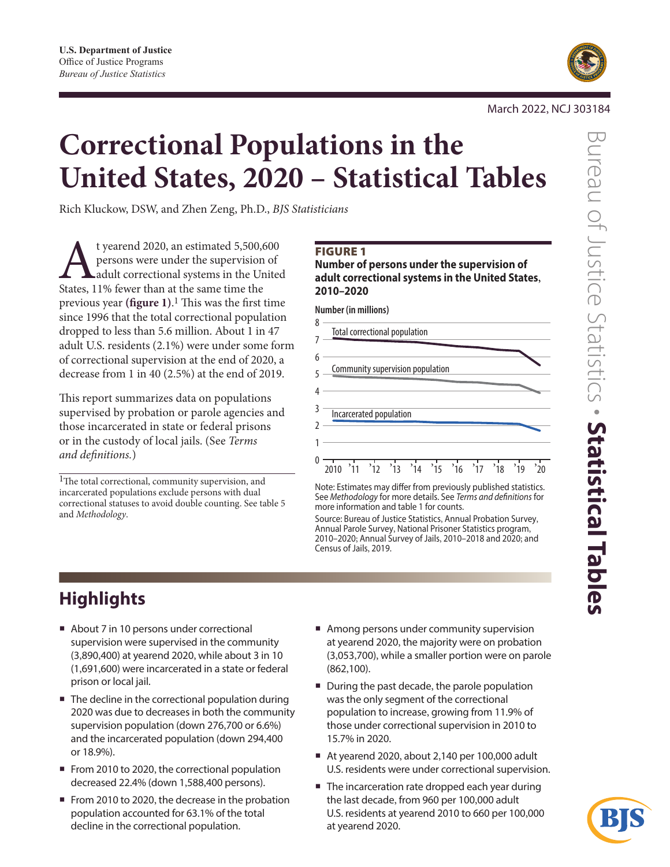

March 2022, NCJ 303184

# **Correctional Populations in the United States, 2020 – Statistical Tables**

Rich Kluckow, DSW, and Zhen Zeng, Ph.D., *BJS Statisticians*

t yearend 2020, an estimated 5,500,600 persons were under the supervision of adult correctional systems in the United States, 11% fewer than at the same time the previous year **(figure 1)**. 1 This was the first time since 1996 that the total correctional population dropped to less than 5.6 million. About 1 in 47 adult U.S. residents (2.1%) were under some form of correctional supervision at the end of 2020, a decrease from 1 in 40 (2.5%) at the end of 2019.

This report summarizes data on populations supervised by probation or parole agencies and those incarcerated in state or federal prisons or in the custody of local jails. (See *Terms and definitions.*)

<sup>1</sup>The total correctional, community supervision, and incarcerated populations exclude persons with dual correctional statuses to avoid double counting. See table 5 and *Methodology*.

### FIGURE 1

**Number of persons under the supervision of adult correctional systems in the United States, 2010–2020**

**Number (in millions)**

| 8 | Total correctional population                                                     |
|---|-----------------------------------------------------------------------------------|
|   |                                                                                   |
| 6 |                                                                                   |
|   | Community supervision population                                                  |
|   |                                                                                   |
|   | Incarcerated population                                                           |
|   |                                                                                   |
|   |                                                                                   |
|   | $, \frac{1}{15}$<br>$^{\prime}$ 16<br>$^{\prime}$ 17<br>$^{\prime}$ 19<br>$^3$ 18 |

Note: Estimates may differ from previously published statistics. See *Methodology* for more details. See *Terms and definitions* for more information and table 1 for counts.

Source: Bureau of Justice Statistics, Annual Probation Survey, Annual Parole Survey, National Prisoner Statistics program, 2010–2020; Annual Survey of Jails, 2010–2018 and 2020; and Census of Jails, 2019.

# **Highlights**

- About 7 in 10 persons under correctional supervision were supervised in the community (3,890,400) at yearend 2020, while about 3 in 10 (1,691,600) were incarcerated in a state or federal prison or local jail.
- The decline in the correctional population during 2020 was due to decreases in both the community supervision population (down 276,700 or 6.6%) and the incarcerated population (down 294,400 or 18.9%).
- From 2010 to 2020, the correctional population decreased 22.4% (down 1,588,400 persons).
- From 2010 to 2020, the decrease in the probation population accounted for 63.1% of the total decline in the correctional population.
- Among persons under community supervision at yearend 2020, the majority were on probation (3,053,700), while a smaller portion were on parole (862,100).
- During the past decade, the parole population was the only segment of the correctional population to increase, growing from 11.9% of those under correctional supervision in 2010 to 15.7% in 2020.
- At yearend 2020, about 2,140 per 100,000 adult U.S. residents were under correctional supervision.
- The incarceration rate dropped each year during the last decade, from 960 per 100,000 adult U.S. residents at yearend 2010 to 660 per 100,000 at yearend 2020.

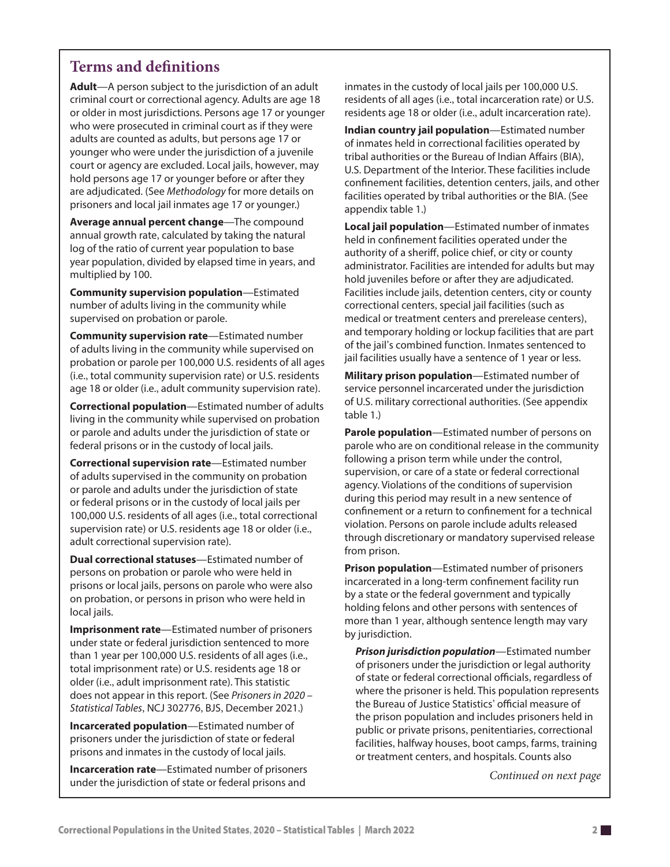### **Terms and definitions**

**Adult**—A person subject to the jurisdiction of an adult criminal court or correctional agency. Adults are age 18 or older in most jurisdictions. Persons age 17 or younger who were prosecuted in criminal court as if they were adults are counted as adults, but persons age 17 or younger who were under the jurisdiction of a juvenile court or agency are excluded. Local jails, however, may hold persons age 17 or younger before or after they are adjudicated. (See *Methodology* for more details on prisoners and local jail inmates age 17 or younger.)

**Average annual percent change**—The compound annual growth rate, calculated by taking the natural log of the ratio of current year population to base year population, divided by elapsed time in years, and multiplied by 100.

**Community supervision population**—Estimated number of adults living in the community while supervised on probation or parole.

**Community supervision rate**—Estimated number of adults living in the community while supervised on probation or parole per 100,000 U.S. residents of all ages (i.e., total community supervision rate) or U.S. residents age 18 or older (i.e., adult community supervision rate).

**Correctional population**—Estimated number of adults living in the community while supervised on probation or parole and adults under the jurisdiction of state or federal prisons or in the custody of local jails.

**Correctional supervision rate**—Estimated number of adults supervised in the community on probation or parole and adults under the jurisdiction of state or federal prisons or in the custody of local jails per 100,000 U.S. residents of all ages (i.e., total correctional supervision rate) or U.S. residents age 18 or older (i.e., adult correctional supervision rate).

**Dual correctional statuses**—Estimated number of persons on probation or parole who were held in prisons or local jails, persons on parole who were also on probation, or persons in prison who were held in local jails.

**Imprisonment rate**—Estimated number of prisoners under state or federal jurisdiction sentenced to more than 1 year per 100,000 U.S. residents of all ages (i.e., total imprisonment rate) or U.S. residents age 18 or older (i.e., adult imprisonment rate). This statistic does not appear in this report. (See *Prisoners in 2020 – Statistical Tables*, NCJ 302776, BJS, December 2021.)

**Incarcerated population**—Estimated number of prisoners under the jurisdiction of state or federal prisons and inmates in the custody of local jails.

**Incarceration rate**—Estimated number of prisoners under the jurisdiction of state or federal prisons and

inmates in the custody of local jails per 100,000 U.S. residents of all ages (i.e., total incarceration rate) or U.S. residents age 18 or older (i.e., adult incarceration rate).

**Indian country jail population**—Estimated number of inmates held in correctional facilities operated by tribal authorities or the Bureau of Indian Affairs (BIA), U.S. Department of the Interior. These facilities include confinement facilities, detention centers, jails, and other facilities operated by tribal authorities or the BIA. (See appendix table 1.)

**Local jail population**—Estimated number of inmates held in confinement facilities operated under the authority of a sheriff, police chief, or city or county administrator. Facilities are intended for adults but may hold juveniles before or after they are adjudicated. Facilities include jails, detention centers, city or county correctional centers, special jail facilities (such as medical or treatment centers and prerelease centers), and temporary holding or lockup facilities that are part of the jail's combined function. Inmates sentenced to jail facilities usually have a sentence of 1 year or less.

**Military prison population**—Estimated number of service personnel incarcerated under the jurisdiction of U.S. military correctional authorities. (See appendix table 1.)

**Parole population**—Estimated number of persons on parole who are on conditional release in the community following a prison term while under the control, supervision, or care of a state or federal correctional agency. Violations of the conditions of supervision during this period may result in a new sentence of confinement or a return to confinement for a technical violation. Persons on parole include adults released through discretionary or mandatory supervised release from prison.

**Prison population**—Estimated number of prisoners incarcerated in a long-term confinement facility run by a state or the federal government and typically holding felons and other persons with sentences of more than 1 year, although sentence length may vary by jurisdiction.

*Prison jurisdiction population*—Estimated number of prisoners under the jurisdiction or legal authority of state or federal correctional officials, regardless of where the prisoner is held. This population represents the Bureau of Justice Statistics' official measure of the prison population and includes prisoners held in public or private prisons, penitentiaries, correctional facilities, halfway houses, boot camps, farms, training or treatment centers, and hospitals. Counts also

*Continued on next page*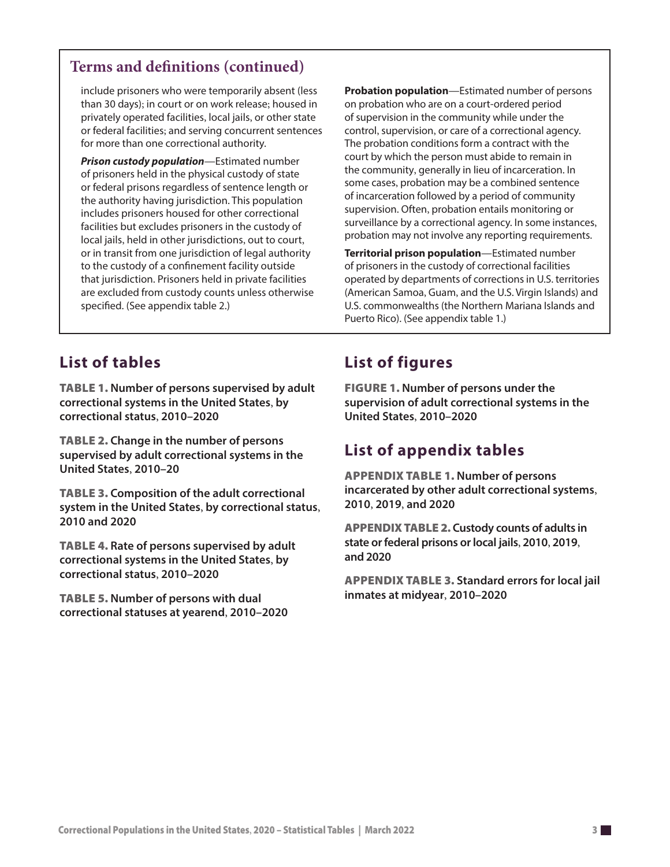### **Terms and definitions (continued)**

include prisoners who were temporarily absent (less than 30 days); in court or on work release; housed in privately operated facilities, local jails, or other state or federal facilities; and serving concurrent sentences for more than one correctional authority.

*Prison custody population*—Estimated number of prisoners held in the physical custody of state or federal prisons regardless of sentence length or the authority having jurisdiction. This population includes prisoners housed for other correctional facilities but excludes prisoners in the custody of local jails, held in other jurisdictions, out to court, or in transit from one jurisdiction of legal authority to the custody of a confinement facility outside that jurisdiction. Prisoners held in private facilities are excluded from custody counts unless otherwise specified. (See appendix table 2.)

**Probation population**—Estimated number of persons on probation who are on a court-ordered period of supervision in the community while under the control, supervision, or care of a correctional agency. The probation conditions form a contract with the court by which the person must abide to remain in the community, generally in lieu of incarceration. In some cases, probation may be a combined sentence of incarceration followed by a period of community supervision. Often, probation entails monitoring or surveillance by a correctional agency. In some instances, probation may not involve any reporting requirements.

**Territorial prison population**—Estimated number of prisoners in the custody of correctional facilities operated by departments of corrections in U.S. territories (American Samoa, Guam, and the U.S. Virgin Islands) and U.S. commonwealths (the Northern Mariana Islands and Puerto Rico). (See appendix table 1.)

# **List of tables**

Table 1. **Number of persons supervised by adult correctional systems in the United States**, **by correctional status**, **2010–2020**

Table 2. **Change in the number of persons supervised by adult correctional systems in the United States**, **2010–20**

Table 3. **Composition of the adult correctional system in the United States**, **by correctional status**, **2010 and 2020**

Table 4. **Rate of persons supervised by adult correctional systems in the United States**, **by correctional status**, **2010–2020**

Table 5. **Number of persons with dual correctional statuses at yearend**, **2010–2020**

# **List of figures**

Figure 1. **Number of persons under the supervision of adult correctional systems in the United States**, **2010–2020**

### **List of appendix tables**

Appendix table 1. **Number of persons incarcerated by other adult correctional systems**, **2010**, **2019**, **and 2020**

Appendix table 2. **Custody counts of adults in state or federal prisons or local jails**, **2010**, **2019**, **and 2020**

Appendix table 3. **Standard errors for local jail inmates at midyear**, **2010–2020**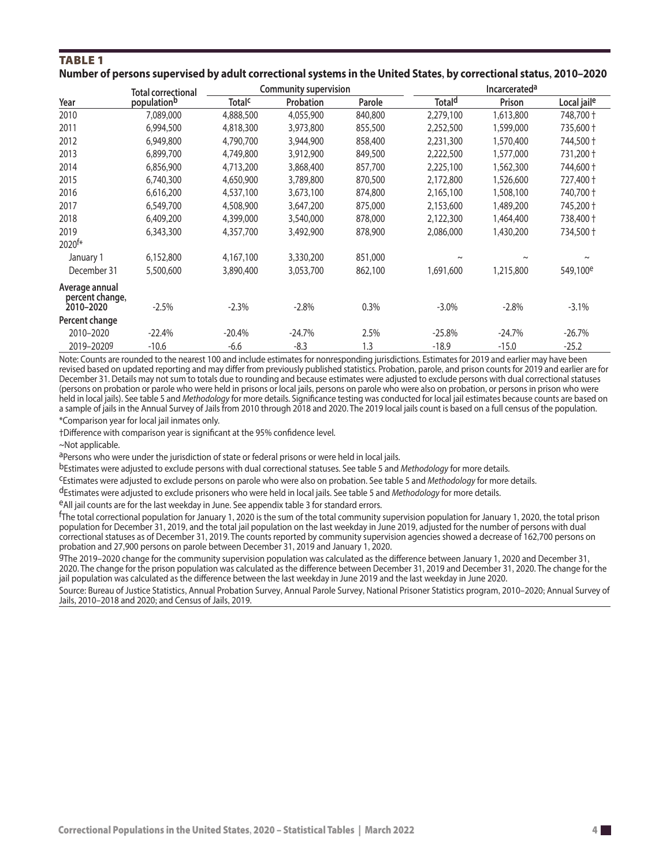### TablE 1 **Number of persons supervised by adult correctional systems in the United States, by correctional status, 2010–2020**

|                                                | <b>Total correctional</b> |                          | <b>Community supervision</b> |         |                    | <b>Incarcerateda</b>  |                         |
|------------------------------------------------|---------------------------|--------------------------|------------------------------|---------|--------------------|-----------------------|-------------------------|
| Year                                           | populationb               | <b>Total<sup>c</sup></b> | Probation                    | Parole  | Total <sup>d</sup> | Prison                | Local jail <sup>e</sup> |
| 2010                                           | 7,089,000                 | 4,888,500                | 4,055,900                    | 840,800 | 2,279,100          | 1,613,800             | 748,700 +               |
| 2011                                           | 6,994,500                 | 4,818,300                | 3,973,800                    | 855,500 | 2,252,500          | 1,599,000             | 735,600 +               |
| 2012                                           | 6,949,800                 | 4,790,700                | 3,944,900                    | 858,400 | 2,231,300          | 1,570,400             | 744,500 +               |
| 2013                                           | 6,899,700                 | 4,749,800                | 3,912,900                    | 849,500 | 2,222,500          | 1,577,000             | 731,200 +               |
| 2014                                           | 6,856,900                 | 4,713,200                | 3,868,400                    | 857,700 | 2,225,100          | 1,562,300             | 744,600 +               |
| 2015                                           | 6,740,300                 | 4,650,900                | 3,789,800                    | 870,500 | 2,172,800          | 1,526,600             | 727,400 +               |
| 2016                                           | 6,616,200                 | 4,537,100                | 3,673,100                    | 874,800 | 2,165,100          | 1,508,100             | 740,700 +               |
| 2017                                           | 6,549,700                 | 4,508,900                | 3,647,200                    | 875,000 | 2,153,600          | 1,489,200             | 745,200 +               |
| 2018                                           | 6,409,200                 | 4,399,000                | 3,540,000                    | 878,000 | 2,122,300          | 1,464,400             | 738,400 +               |
| 2019                                           | 6,343,300                 | 4,357,700                | 3,492,900                    | 878,900 | 2,086,000          | 1,430,200             | 734,500 +               |
| 2020 <sup>f*</sup>                             |                           |                          |                              |         |                    |                       |                         |
| January 1                                      | 6,152,800                 | 4,167,100                | 3,330,200                    | 851,000 | $\sim$             | $\tilde{\phantom{a}}$ | $\tilde{}$              |
| December 31                                    | 5,500,600                 | 3,890,400                | 3,053,700                    | 862,100 | 1,691,600          | 1,215,800             | 549,100 <sup>e</sup>    |
| Average annual<br>percent change,<br>2010-2020 | $-2.5%$                   | $-2.3%$                  | $-2.8%$                      | 0.3%    | $-3.0\%$           | $-2.8%$               | $-3.1%$                 |
| Percent change                                 |                           |                          |                              |         |                    |                       |                         |
| 2010-2020                                      | $-22.4%$                  | $-20.4%$                 | $-24.7%$                     | 2.5%    | $-25.8%$           | $-24.7%$              | $-26.7%$                |
| 2019-20209                                     | $-10.6$                   | $-6.6$                   | $-8.3$                       | 1.3     | $-18.9$            | $-15.0$               | $-25.2$                 |

Note: Counts are rounded to the nearest 100 and include estimates for nonresponding jurisdictions. Estimates for 2019 and earlier may have been revised based on updated reporting and may differ from previously published statistics. Probation, parole, and prison counts for 2019 and earlier are for December 31. Details may not sum to totals due to rounding and because estimates were adjusted to exclude persons with dual correctional statuses (persons on probation or parole who were held in prisons or local jails, persons on parole who were also on probation, or persons in prison who were held in local jails). See table 5 and *Methodology* for more details. Significance testing was conducted for local jail estimates because counts are based on a sample of jails in the Annual Survey of Jails from 2010 through 2018 and 2020. The 2019 local jails count is based on a full census of the population.

\*Comparison year for local jail inmates only.

†Difference with comparison year is significant at the 95% confidence level.

~Not applicable.

a Persons who were under the jurisdiction of state or federal prisons or were held in local jails.

bEstimates were adjusted to exclude persons with dual correctional statuses. See table 5 and *Methodology* for more details.

cEstimates were adjusted to exclude persons on parole who were also on probation. See table 5 and *Methodology* for more details.

dEstimates were adjusted to exclude prisoners who were held in local jails. See table 5 and *Methodology* for more details.

eAll jail counts are for the last weekday in June. See appendix table 3 for standard errors.

f The total correctional population for January 1, 2020 is the sum of the total community supervision population for January 1, 2020, the total prison population for December 31, 2019, and the total jail population on the last weekday in June 2019, adjusted for the number of persons with dual correctional statuses as of December 31, 2019. The counts reported by community supervision agencies showed a decrease of 162,700 persons on probation and 27,900 persons on parole between December 31, 2019 and January 1, 2020.

gThe 2019–2020 change for the community supervision population was calculated as the difference between January 1, 2020 and December 31, 2020. The change for the prison population was calculated as the difference between December 31, 2019 and December 31, 2020. The change for the jail population was calculated as the difference between the last weekday in June 2019 and the last weekday in June 2020.

Source: Bureau of Justice Statistics, Annual Probation Survey, Annual Parole Survey, National Prisoner Statistics program, 2010–2020; Annual Survey of Jails, 2010–2018 and 2020; and Census of Jails, 2019.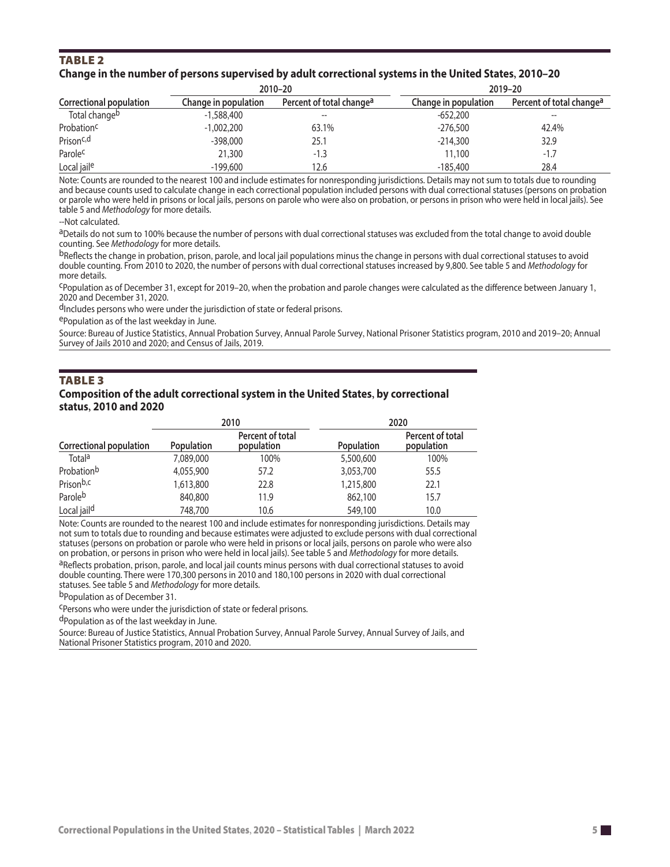#### TablE 2 **Change in the number of persons supervised by adult correctional systems in the United States 2010–20 ,**

|                         |                      | 2010-20                              | 2019-20              |                                      |  |
|-------------------------|----------------------|--------------------------------------|----------------------|--------------------------------------|--|
| Correctional population | Change in population | Percent of total change <sup>a</sup> | Change in population | Percent of total change <sup>a</sup> |  |
| Total changeb           | $-1,588,400$         |                                      | $-652,200$           |                                      |  |
| Probation <sup>c</sup>  | $-1,002,200$         | 63.1%                                | $-276,500$           | 42.4%                                |  |
| Prison <sup>c,d</sup>   | $-398,000$           | 25.1                                 | $-214,300$           | 32.9                                 |  |
| Parole <sup>c</sup>     | 21,300               | $-1.3$                               | 11,100               | $-1.7$                               |  |
| Local jaile             | $-199,600$           | 12.6                                 | $-185,400$           | 28.4                                 |  |

Note: Counts are rounded to the nearest 100 and include estimates for nonresponding jurisdictions. Details may not sum to totals due to rounding and because counts used to calculate change in each correctional population included persons with dual correctional statuses (persons on probation or parole who were held in prisons or local jails, persons on parole who were also on probation, or persons in prison who were held in local jails). See table 5 and *Methodology* for more details.

--Not calculated.

aDetails do not sum to 100% because the number of persons with dual correctional statuses was excluded from the total change to avoid double counting. See *Methodology* for more details.

bReflects the change in probation, prison, parole, and local jail populations minus the change in persons with dual correctional statuses to avoid double counting. From 2010 to 2020, the number of persons with dual correctional statuses increased by 9,800. See table 5 and *Methodology* for more details.

cPopulation as of December 31, except for 2019–20, when the probation and parole changes were calculated as the difference between January 1, 2020 and December 31, 2020.

d<sub>Includes</sub> persons who were under the jurisdiction of state or federal prisons.

ePopulation as of the last weekday in June.

Source: Bureau of Justice Statistics, Annual Probation Survey, Annual Parole Survey, National Prisoner Statistics program, 2010 and 2019–20; Annual Survey of Jails 2010 and 2020; and Census of Jails, 2019.

#### **TABLE 3**

#### **Composition of the adult correctional system in the United States, by correctional status, 2010 and 2020**

|                         | 2010              |                                | 2020              |                                |  |
|-------------------------|-------------------|--------------------------------|-------------------|--------------------------------|--|
| Correctional population | <b>Population</b> | Percent of total<br>population | <b>Population</b> | Percent of total<br>population |  |
| Total <sup>a</sup>      | 7,089,000         | 100%                           | 5,500,600         | 100%                           |  |
| Probationb              | 4,055,900         | 57.2                           | 3,053,700         | 55.5                           |  |
| Prison <sup>b,c</sup>   | 1,613,800         | 22.8                           | 1,215,800         | 22.1                           |  |
| Paroleb                 | 840,800           | 11.9                           | 862,100           | 15.7                           |  |
| Local jail <sup>d</sup> | 748,700           | 10.6                           | 549,100           | 10.0                           |  |

Note: Counts are rounded to the nearest 100 and include estimates for nonresponding jurisdictions. Details may not sum to totals due to rounding and because estimates were adjusted to exclude persons with dual correctional statuses (persons on probation or parole who were held in prisons or local jails, persons on parole who were also<br>on probation, or persons in prison who were held in local jails). See table 5 and *Methodology* for more det aReflects probation, prison, parole, and local jail counts minus persons with dual correctional statuses to avoid double counting. There were 170,300 persons in 2010 and 180,100 persons in 2020 with dual correctional statuses. See table 5 and *Methodology* for more details.

bPopulation as of December 31.

cPersons who were under the jurisdiction of state or federal prisons.

dPopulation as of the last weekday in June.

Source: Bureau of Justice Statistics, Annual Probation Survey, Annual Parole Survey, Annual Survey of Jails, and National Prisoner Statistics program, 2010 and 2020.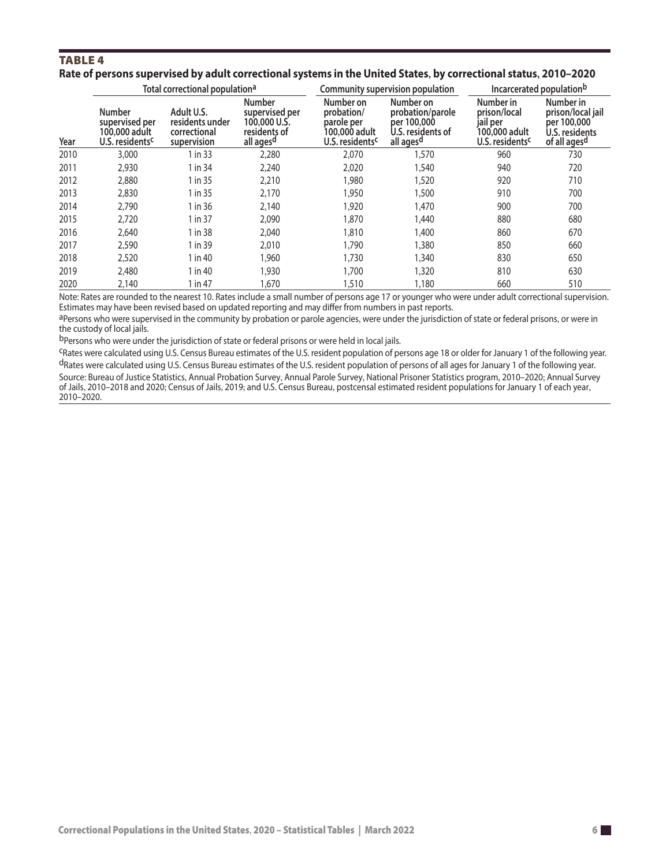### **TABLE 4**

| Rate of persons supervised by adult correctional systems in the United States, by correctional status, 2010–2020 |  |  |
|------------------------------------------------------------------------------------------------------------------|--|--|
|------------------------------------------------------------------------------------------------------------------|--|--|

|      |                                                                                 | Total correctional population <sup>a</sup>                   |                                                                                          |                                                                                       | Community supervision population                                                           |                                                                                       | Incarcerated populationb                                                        |  |
|------|---------------------------------------------------------------------------------|--------------------------------------------------------------|------------------------------------------------------------------------------------------|---------------------------------------------------------------------------------------|--------------------------------------------------------------------------------------------|---------------------------------------------------------------------------------------|---------------------------------------------------------------------------------|--|
| Year | <b>Number</b><br>supervised per<br>100,000 adult<br>U.S. residents <sup>c</sup> | Adult U.S.<br>residents under<br>correctional<br>supervision | <b>Number</b><br>supervised per<br>100,000 U.S.<br>residents of<br>all ages <sup>d</sup> | Number on<br>probation/<br>parole per<br>100.000 adult<br>U.S. residents <sup>c</sup> | Number on<br>probation/parole<br>per 100,000<br>U.S. residents of<br>all ages <sup>d</sup> | Number in<br>prison/local<br>jail per<br>100,000 adult<br>U.S. residents <sup>c</sup> | Number in<br>prison/local jail<br>per 100,000<br>U.S. residents<br>of all agesd |  |
| 2010 | 3,000                                                                           | 1 in 33                                                      | 2,280                                                                                    | 2,070                                                                                 | 1,570                                                                                      | 960                                                                                   | 730                                                                             |  |
| 2011 | 2,930                                                                           | 1 in 34                                                      | 2,240                                                                                    | 2,020                                                                                 | 1,540                                                                                      | 940                                                                                   | 720                                                                             |  |
| 2012 | 2,880                                                                           | 1 in 35                                                      | 2,210                                                                                    | 1,980                                                                                 | ,520                                                                                       | 920                                                                                   | 710                                                                             |  |
| 2013 | 2,830                                                                           | 1 in 35                                                      | 2,170                                                                                    | 1,950                                                                                 | .500                                                                                       | 910                                                                                   | 700                                                                             |  |
| 2014 | 2,790                                                                           | 1 in 36                                                      | 2,140                                                                                    | 1,920                                                                                 | 1,470                                                                                      | 900                                                                                   | 700                                                                             |  |
| 2015 | 2,720                                                                           | 1 in 37                                                      | 2,090                                                                                    | 1,870                                                                                 | 1,440                                                                                      | 880                                                                                   | 680                                                                             |  |
| 2016 | 2,640                                                                           | 1 in 38                                                      | 2,040                                                                                    | 1,810                                                                                 | 1,400                                                                                      | 860                                                                                   | 670                                                                             |  |
| 2017 | 2,590                                                                           | 1 in 39                                                      | 2,010                                                                                    | 1,790                                                                                 | ,380                                                                                       | 850                                                                                   | 660                                                                             |  |
| 2018 | 2,520                                                                           | 1 in 40                                                      | 1,960                                                                                    | 1,730                                                                                 | 1,340                                                                                      | 830                                                                                   | 650                                                                             |  |
| 2019 | 2,480                                                                           | 1 in 40                                                      | 1,930                                                                                    | 1,700                                                                                 | 320                                                                                        | 810                                                                                   | 630                                                                             |  |
| 2020 | 2,140                                                                           | 1 in 47                                                      | 1,670                                                                                    | 1,510                                                                                 | 1,180                                                                                      | 660                                                                                   | 510                                                                             |  |

Note: Rates are rounded to the nearest 10. Rates include a small number of persons age 17 or younger who were under adult correctional supervision. Estimates may have been revised based on updated reporting and may differ from numbers in past reports.

aPersons who were supervised in the community by probation or parole agencies, were under the jurisdiction of state or federal prisons, or were in the custody of local jails.

b Persons who were under the jurisdiction of state or federal prisons or were held in local jails.

cRates were calculated using U.S. Census Bureau estimates of the U.S. resident population of persons age 18 or older for January 1 of the following year. dRates were calculated using U.S. Census Bureau estimates of the U.S. resident population of persons of all ages for January 1 of the following year. Source: Bureau of Justice Statistics, Annual Probation Survey, Annual Parole Survey, National Prisoner Statistics program, 2010–2020; Annual Survey of Jails, 2010–2018 and 2020; Census of Jails, 2019; and U.S. Census Bureau, postcensal estimated resident populations for January 1 of each year, 2010–2020.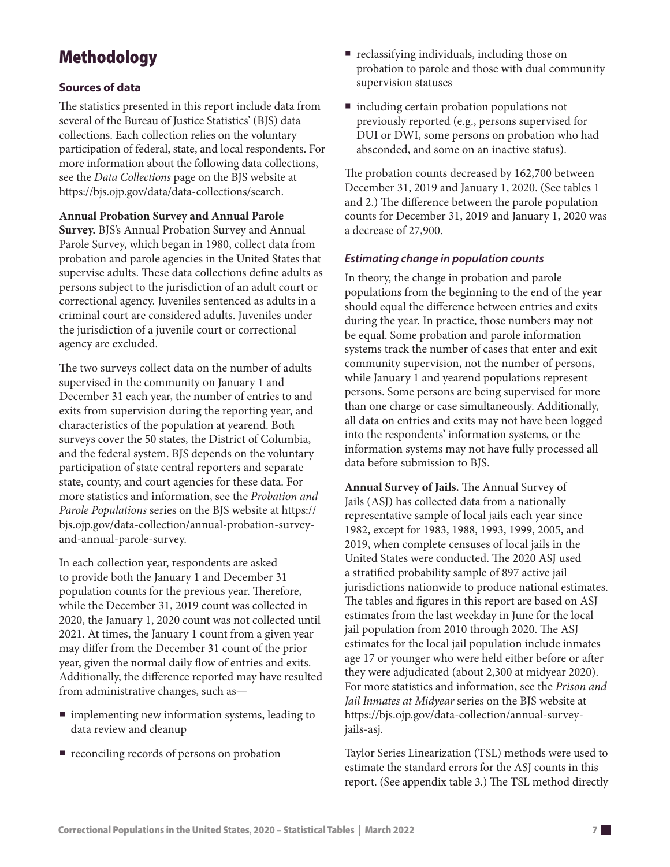# Methodology

### **Sources of data**

The statistics presented in this report include data from several of the Bureau of Justice Statistics' (BJS) data collections. Each collection relies on the voluntary participation of federal, state, and local respondents. For more information about the following data collections, see the *Data Collections* page on the BJS website a[t](https://bjs.ojp.gov/data/data-collections/search) [https://bjs.ojp.gov/data/data-collections/search.](https://bjs.ojp.gov/data/data-collections/search)

### **Annual Probation Survey and Annual Parole**

**Survey.** BJS's Annual Probation Survey and Annual Parole Survey, which began in 1980, collect data from probation and parole agencies in the United States that supervise adults. These data collections define adults as persons subject to the jurisdiction of an adult court or correctional agency. Juveniles sentenced as adults in a criminal court are considered adults. Juveniles under the jurisdiction of a juvenile court or correctional agency are excluded.

The two surveys collect data on the number of adults supervised in the community on January 1 and December 31 each year, the number of entries to and exits from supervision during the reporting year, and characteristics of the population at yearend. Both surveys cover the 50 states, the District of Columbia, and the federal system. BJS depends on the voluntary participation of state central reporters and separate state, county, and court agencies for these data. For more statistics and information, see the *Probation and Parole Populations* series on the BJS website at [https://](https://bjs.ojp.gov/data-collection/annual-probation-survey-and-annual-parole-survey) [bjs.ojp.gov/data-collection/annual-probation-survey](https://bjs.ojp.gov/data-collection/annual-probation-survey-and-annual-parole-survey)[and-annual-parole-survey](https://bjs.ojp.gov/data-collection/annual-probation-survey-and-annual-parole-survey).

In each collection year, respondents are asked to provide both the January 1 and December 31 population counts for the previous year. Therefore, while the December 31, 2019 count was collected in 2020, the January 1, 2020 count was not collected until 2021. At times, the January 1 count from a given year may differ from the December 31 count of the prior year, given the normal daily flow of entries and exits. Additionally, the difference reported may have resulted from administrative changes, such as—

- **In** implementing new information systems, leading to data review and cleanup
- reconciling records of persons on probation
- reclassifying individuals, including those on probation to parole and those with dual community supervision statuses
- $\blacksquare$  including certain probation populations not previously reported (e.g., persons supervised for DUI or DWI, some persons on probation who had absconded, and some on an inactive status).

The probation counts decreased by 162,700 between December 31, 2019 and January 1, 2020. (See tables 1 and 2.) The difference between the parole population counts for December 31, 2019 and January 1, 2020 was a decrease of 27,900.

### *Estimating change in population counts*

In theory, the change in probation and parole populations from the beginning to the end of the year should equal the difference between entries and exits during the year. In practice, those numbers may not be equal. Some probation and parole information systems track the number of cases that enter and exit community supervision, not the number of persons, while January 1 and yearend populations represent persons. Some persons are being supervised for more than one charge or case simultaneously. Additionally, all data on entries and exits may not have been logged into the respondents' information systems, or the information systems may not have fully processed all data before submission to BJS.

**Annual Survey of Jails.** The Annual Survey of Jails (ASJ) has collected data from a nationally representative sample of local jails each year since 1982, except for 1983, 1988, 1993, 1999, 2005, and 2019, when complete censuses of local jails in the United States were conducted. The 2020 ASJ used a stratified probability sample of 897 active jail jurisdictions nationwide to produce national estimates. The tables and figures in this report are based on ASJ estimates from the last weekday in June for the local jail population from 2010 through 2020. The ASJ estimates for the local jail population include inmates age 17 or younger who were held either before or after they were adjudicated (about 2,300 at midyear 2020). For more statistics and information, see the *Prison and Jail Inmates at Midyear* series on the BJS website at [https://bjs.ojp.gov/data-collection/annual-survey](https://bjs.ojp.gov/data-collection/annual-survey-jails-asj)[jails-asj.](https://bjs.ojp.gov/data-collection/annual-survey-jails-asj)

Taylor Series Linearization (TSL) methods were used to estimate the standard errors for the ASJ counts in this report. (See appendix table 3.) The TSL method directly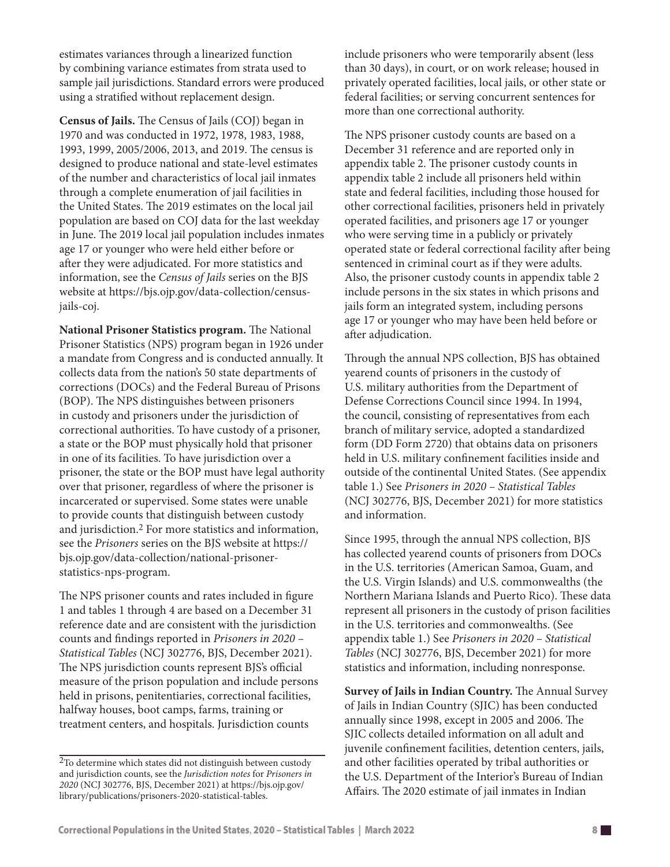estimates variances through a linearized function by combining variance estimates from strata used to sample jail jurisdictions. Standard errors were produced using a stratified without replacement design.

**Census of Jails.** The Census of Jails (COJ) began in 1970 and was conducted in 1972, 1978, 1983, 1988, 1993, 1999, 2005/2006, 2013, and 2019. The census is designed to produce national and state-level estimates of the number and characteristics of local jail inmates through a complete enumeration of jail facilities in the United States. The 2019 estimates on the local jail population are based on COJ data for the last weekday in June. The 2019 local jail population includes inmates age 17 or younger who were held either before or after they were adjudicated. For more statistics and information, see the *Census of Jails* series on the BJS website at [https://bjs.ojp.gov/data-collection/census](https://bjs.ojp.gov/data-collection/census-jails-coj)[jails-coj](https://bjs.ojp.gov/data-collection/census-jails-coj).

**National Prisoner Statistics program.** The National Prisoner Statistics (NPS) program began in 1926 under a mandate from Congress and is conducted annually. It collects data from the nation's 50 state departments of corrections (DOCs) and the Federal Bureau of Prisons (BOP). The NPS distinguishes between prisoners in custody and prisoners under the jurisdiction of correctional authorities. To have custody of a prisoner, a state or the BOP must physically hold that prisoner in one of its facilities. To have jurisdiction over a prisoner, the state or the BOP must have legal authority over that prisoner, regardless of where the prisoner is incarcerated or supervised. Some states were unable to provide counts that distinguish between custody and jurisdiction.2 For more statistics and information, see the *Prisoners* series on the BJS website at [https://](https://bjs.ojp.gov/data-collection/national-prisoner-statistics-nps-program) [bjs.ojp.gov/data-collection/national-prisoner](https://bjs.ojp.gov/data-collection/national-prisoner-statistics-nps-program)[statistics-nps-program](https://bjs.ojp.gov/data-collection/national-prisoner-statistics-nps-program).

The NPS prisoner counts and rates included in figure 1 and tables 1 through 4 are based on a December 31 reference date and are consistent with the jurisdiction counts and findings reported in *Prisoners in 2020 – Statistical Tables* (NCJ 302776, BJS, December 2021). The NPS jurisdiction counts represent BJS's official measure of the prison population and include persons held in prisons, penitentiaries, correctional facilities, halfway houses, boot camps, farms, training or treatment centers, and hospitals. Jurisdiction counts

include prisoners who were temporarily absent (less than 30 days), in court, or on work release; housed in privately operated facilities, local jails, or other state or federal facilities; or serving concurrent sentences for more than one correctional authority.

The NPS prisoner custody counts are based on a December 31 reference and are reported only in appendix table 2. The prisoner custody counts in appendix table 2 include all prisoners held within state and federal facilities, including those housed for other correctional facilities, prisoners held in privately operated facilities, and prisoners age 17 or younger who were serving time in a publicly or privately operated state or federal correctional facility after being sentenced in criminal court as if they were adults. Also, the prisoner custody counts in appendix table 2 include persons in the six states in which prisons and jails form an integrated system, including persons age 17 or younger who may have been held before or after adjudication.

Through the annual NPS collection, BJS has obtained yearend counts of prisoners in the custody of U.S. military authorities from the Department of Defense Corrections Council since 1994. In 1994, the council, consisting of representatives from each branch of military service, adopted a standardized form (DD Form 2720) that obtains data on prisoners held in U.S. military confinement facilities inside and outside of the continental United States. (See appendix table 1.) See *Prisoners in 2020 – Statistical Tables* (NCJ 302776, BJS, December 2021) for more statistics and information.

Since 1995, through the annual NPS collection, BJS has collected yearend counts of prisoners from DOCs in the U.S. territories (American Samoa, Guam, and the U.S. Virgin Islands) and U.S. commonwealths (the Northern Mariana Islands and Puerto Rico). These data represent all prisoners in the custody of prison facilities in the U.S. territories and commonwealths. (See appendix table 1.) See *Prisoners in 2020 – Statistical Tables* (NCJ 302776, BJS, December 2021) for more statistics and information, including nonresponse.

**Survey of Jails in Indian Country.** The Annual Survey of Jails in Indian Country (SJIC) has been conducted annually since 1998, except in 2005 and 2006. The SJIC collects detailed information on all adult and juvenile confinement facilities, detention centers, jails, and other facilities operated by tribal authorities or the U.S. Department of the Interior's Bureau of Indian Affairs. The 2020 estimate of jail inmates in Indian

<sup>2</sup>To determine which states did not distinguish between custody and jurisdiction counts, see the *Jurisdiction notes* for *Prisoners in 2020* (NCJ 302776, BJS, December 2021) at [https://bjs.ojp.gov/](https://bjs.ojp.gov/library/publications/prisoners-2020-statistical-tables) [library/publications/prisoners-2020-statistical-tables.](https://bjs.ojp.gov/library/publications/prisoners-2020-statistical-tables)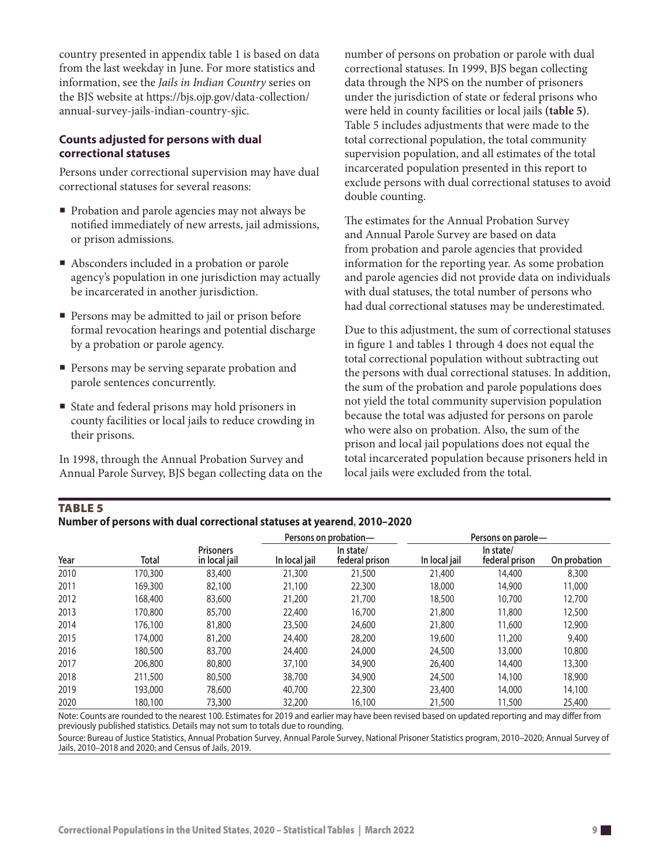country presented in appendix table 1 is based on data from the last weekday in June. For more statistics and information, see the *Jails in Indian Country* series on the BJS website at [https://bjs.ojp.gov/data-collection/](https://bjs.ojp.gov/data-collection/annual-survey-jails-indian-country-sjic) [annual-survey-jails-indian-country-sjic](https://bjs.ojp.gov/data-collection/annual-survey-jails-indian-country-sjic).

#### **Counts adjusted for persons with dual correctional statuses**

Persons under correctional supervision may have dual correctional statuses for several reasons:

- Probation and parole agencies may not always be notified immediately of new arrests, jail admissions, or prison admissions.
- Absconders included in a probation or parole agency's population in one jurisdiction may actually be incarcerated in another jurisdiction.
- Persons may be admitted to jail or prison before formal revocation hearings and potential discharge by a probation or parole agency.
- Persons may be serving separate probation and parole sentences concurrently.
- State and federal prisons may hold prisoners in county facilities or local jails to reduce crowding in their prisons.

In 1998, through the Annual Probation Survey and Annual Parole Survey, BJS began collecting data on the number of persons on probation or parole with dual correctional statuses. In 1999, BJS began collecting data through the NPS on the number of prisoners under the jurisdiction of state or federal prisons who were held in county facilities or local jails **(table 5)**. Table 5 includes adjustments that were made to the total correctional population, the total community supervision population, and all estimates of the total incarcerated population presented in this report to exclude persons with dual correctional statuses to avoid double counting.

The estimates for the Annual Probation Survey and Annual Parole Survey are based on data from probation and parole agencies that provided information for the reporting year. As some probation and parole agencies did not provide data on individuals with dual statuses, the total number of persons who had dual correctional statuses may be underestimated.

Due to this adjustment, the sum of correctional statuses in figure 1 and tables 1 through 4 does not equal the total correctional population without subtracting out the persons with dual correctional statuses. In addition, the sum of the probation and parole populations does not yield the total community supervision population because the total was adjusted for persons on parole who were also on probation. Also, the sum of the prison and local jail populations does not equal the total incarcerated population because prisoners held in local jails were excluded from the total.

### TablE 5

| Number of persons with dual correctional statuses at yearend, 2010-2020 |  |
|-------------------------------------------------------------------------|--|
|-------------------------------------------------------------------------|--|

|      |         |                                   |               | Persons on probation-       |               | Persons on parole-          |              |
|------|---------|-----------------------------------|---------------|-----------------------------|---------------|-----------------------------|--------------|
| Year | Total   | <b>Prisoners</b><br>in local jail | In local jail | In state/<br>federal prison | In local jail | In state/<br>federal prison | On probation |
| 2010 | 170,300 | 83,400                            | 21,300        | 21,500                      | 21,400        | 14,400                      | 8,300        |
| 2011 | 169,300 | 82,100                            | 21,100        | 22,300                      | 18,000        | 14,900                      | 11,000       |
| 2012 | 168,400 | 83,600                            | 21,200        | 21,700                      | 18,500        | 10,700                      | 12,700       |
| 2013 | 170,800 | 85,700                            | 22,400        | 16,700                      | 21,800        | 11,800                      | 12,500       |
| 2014 | 176,100 | 81,800                            | 23,500        | 24,600                      | 21,800        | 11,600                      | 12,900       |
| 2015 | 174,000 | 81,200                            | 24,400        | 28,200                      | 19,600        | 11,200                      | 9,400        |
| 2016 | 180,500 | 83,700                            | 24,400        | 24,000                      | 24,500        | 13,000                      | 10,800       |
| 2017 | 206,800 | 80,800                            | 37,100        | 34,900                      | 26,400        | 14,400                      | 13,300       |
| 2018 | 211,500 | 80,500                            | 38,700        | 34,900                      | 24,500        | 14,100                      | 18,900       |
| 2019 | 193,000 | 78,600                            | 40,700        | 22,300                      | 23,400        | 14,000                      | 14,100       |
| 2020 | 180,100 | 73,300                            | 32,200        | 16,100                      | 21,500        | 11,500                      | 25,400       |

Note: Counts are rounded to the nearest 100. Estimates for 2019 and earlier may have been revised based on updated reporting and may differ from previously published statistics. Details may not sum to totals due to rounding.

Source: Bureau of Justice Statistics, Annual Probation Survey, Annual Parole Survey, National Prisoner Statistics program, 2010–2020; Annual Survey of Jails, 2010–2018 and 2020; and Census of Jails, 2019.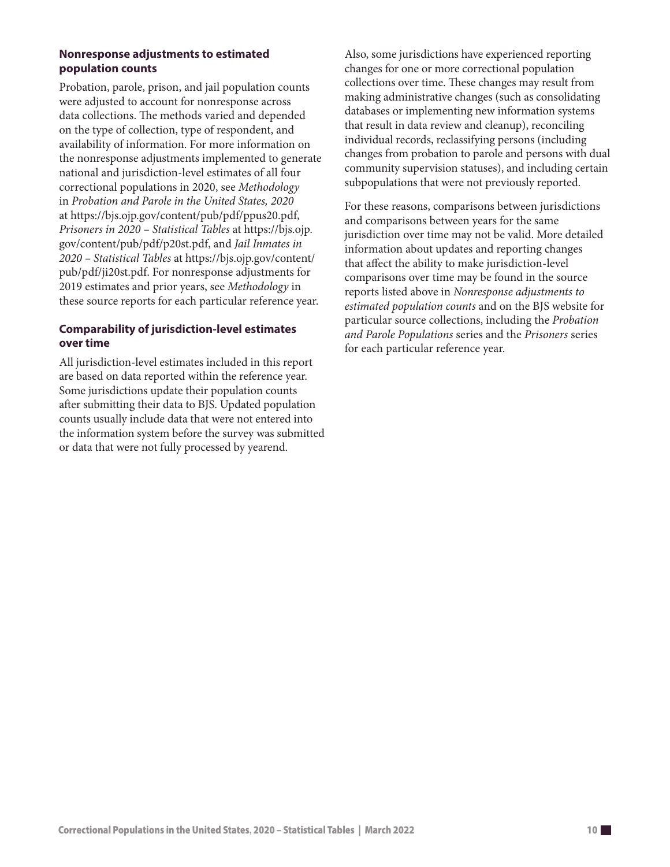### **Nonresponse adjustments to estimated population counts**

Probation, parole, prison, and jail population counts were adjusted to account for nonresponse across data collections. The methods varied and depended on the type of collection, type of respondent, and availability of information. For more information on the nonresponse adjustments implemented to generate national and jurisdiction-level estimates of all four correctional populations in 2020, see *Methodology* in *Probation and Parole in the United States, 2020* at<https://bjs.ojp.gov/content/pub/pdf/ppus20.pdf>, *Prisoners in 2020 – Statistical Tables* at [https://bjs.ojp.](https://bjs.ojp.gov/content/pub/pdf/p20st.pdf) [gov/content/pub/pdf/p20st.pdf](https://bjs.ojp.gov/content/pub/pdf/p20st.pdf), and *Jail Inmates in 2020 – Statistical Tables* at [https://bjs.ojp.gov/content/](https://bjs.ojp.gov/content/pub/pdf/ji20st.pdf) [pub/pdf/ji20st.pdf](https://bjs.ojp.gov/content/pub/pdf/ji20st.pdf). For nonresponse adjustments for 2019 estimates and prior years, see *Methodology* in these source reports for each particular reference year.

### **Comparability of jurisdiction-level estimates over time**

All jurisdiction-level estimates included in this report are based on data reported within the reference year. Some jurisdictions update their population counts after submitting their data to BJS. Updated population counts usually include data that were not entered into the information system before the survey was submitted or data that were not fully processed by yearend.

Also, some jurisdictions have experienced reporting changes for one or more correctional population collections over time. These changes may result from making administrative changes (such as consolidating databases or implementing new information systems that result in data review and cleanup), reconciling individual records, reclassifying persons (including changes from probation to parole and persons with dual community supervision statuses), and including certain subpopulations that were not previously reported.

For these reasons, comparisons between jurisdictions and comparisons between years for the same jurisdiction over time may not be valid. More detailed information about updates and reporting changes that affect the ability to make jurisdiction-level comparisons over time may be found in the source reports listed above in *Nonresponse adjustments to estimated population counts* and on the BJS website for particular source collections, including the *Probation and Parole Populations* series and the *Prisoners* series for each particular reference year.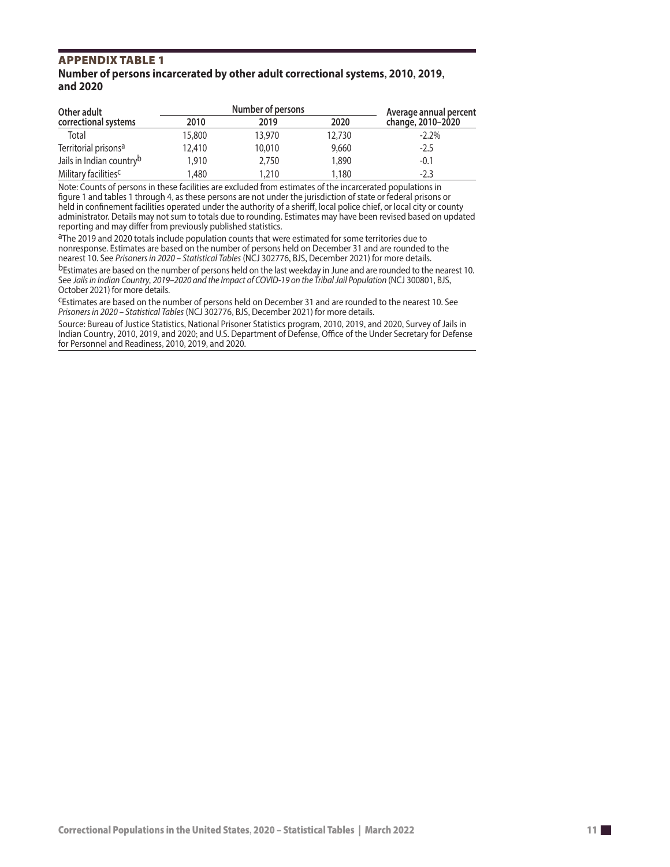## APPENDIX TABLE 1<br>Number of persons incarcerated by other adult correctional systems, 2010, 2019, and 2020

| Other adult                      |        | Number of persons |        | Average annual percent |
|----------------------------------|--------|-------------------|--------|------------------------|
| correctional systems             | 2010   | 2019              | 2020   | change, 2010-2020      |
| Total                            | 15.800 | 13,970            | 12,730 | $-2.2\%$               |
| Territorial prisons <sup>a</sup> | 12.410 | 10,010            | 9,660  | $-2.5$                 |
| Jails in Indian countryb         | 1,910  | 2,750             | 1,890  | $-0.1$                 |
| Military facilities <sup>c</sup> | 1.480  | 1.210             | 1.180  | $-2.3$                 |

Note: Counts of persons in these facilities are excluded from estimates of the incarcerated populations in figure 1 and tables 1 through 4, as these persons are not under the jurisdiction of state or federal prisons or held in confinement facilities operated under the authority of a sheriff, local police chief, or local city or county administrator. Details may not sum to totals due to rounding. Estimates may have been revised based on updated reporting and may differ from previously published statistics.

aThe 2019 and 2020 totals include population counts that were estimated for some territories due to nonresponse. Estimates are based on the number of persons held on December 31 and are rounded to the nearest 10. See *Prisoners in 2020 – Statistical Tables* (NCJ 302776, BJS, December 2021) for more details.

bEstimates are based on the number of persons held on the last weekday in June and are rounded to the nearest 10. See *Jails in Indian Country, 2019–2020 and the Impact of COVID-19 on the Tribal Jail Population* (NCJ 300801, BJS, October 2021) for more details.

cEstimates are based on the number of persons held on December 31 and are rounded to the nearest 10. See *Prisoners in 2020 – Statistical Tables* (NCJ 302776, BJS, December 2021) for more details.

Source: Bureau of Justice Statistics, National Prisoner Statistics program, 2010, 2019, and 2020, Survey of Jails in Indian Country, 2010, 2019, and 2020; and U.S. Department of Defense, Office of the Under Secretary for Defense for Personnel and Readiness, 2010, 2019, and 2020.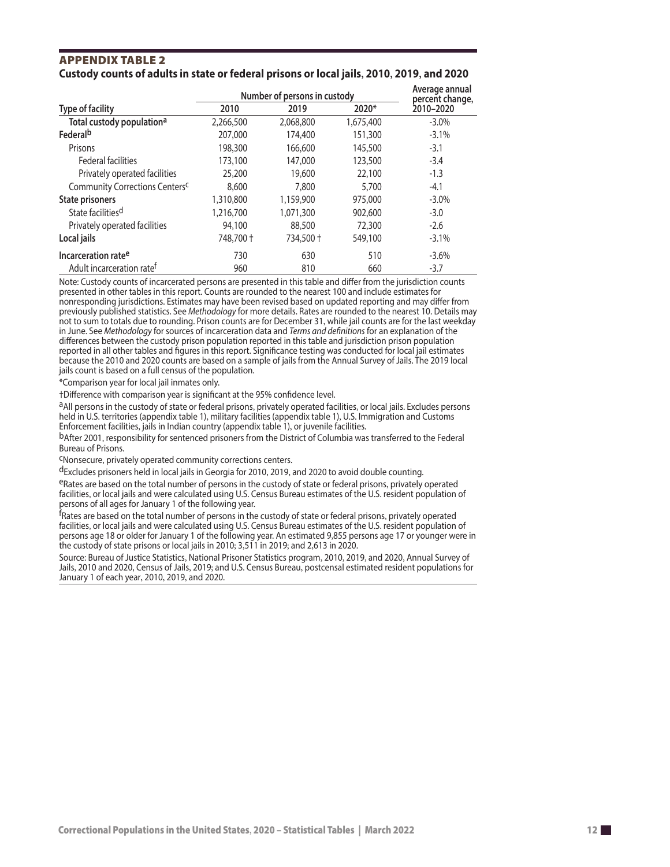#### **APPENDIX TABLE 2** Custody counts of adults in state or federal prisons or local jails, 2010, 2019, and 2020

|                                            | Number of persons in custody | Average annual<br>percent change, |           |           |
|--------------------------------------------|------------------------------|-----------------------------------|-----------|-----------|
| <b>Type of facility</b>                    | 2010                         | 2019                              | 2020*     | 2010-2020 |
| Total custody population <sup>a</sup>      | 2,266,500                    | 2,068,800                         | 1,675,400 | $-3.0\%$  |
| Federalb                                   | 207,000                      | 174,400                           | 151,300   | $-3.1%$   |
| Prisons                                    | 198,300                      | 166,600                           | 145,500   | $-3.1$    |
| <b>Federal facilities</b>                  | 173,100                      | 147,000                           | 123,500   | $-3.4$    |
| Privately operated facilities              | 25,200                       | 19,600                            | 22,100    | $-1.3$    |
| Community Corrections Centers <sup>c</sup> | 8,600                        | 7,800                             | 5,700     | $-4.1$    |
| <b>State prisoners</b>                     | 1,310,800                    | 1,159,900                         | 975,000   | $-3.0\%$  |
| State facilities <sup>d</sup>              | 1,216,700                    | 1,071,300                         | 902,600   | $-3.0$    |
| Privately operated facilities              | 94,100                       | 88,500                            | 72,300    | $-2.6$    |
| Local jails                                | 748,700 +                    | 734,500 +                         | 549,100   | $-3.1%$   |
| Incarceration rate <sup>e</sup>            | 730                          | 630                               | 510       | $-3.6\%$  |
| Adult incarceration rate <sup>f</sup>      | 960                          | 810                               | 660       | $-3.7$    |

Note: Custody counts of incarcerated persons are presented in this table and differ from the jurisdiction counts presented in other tables in this report. Counts are rounded to the nearest 100 and include estimates for nonresponding jurisdictions. Estimates may have been revised based on updated reporting and may differ from previously published statistics. See *Methodology* for more details. Rates are rounded to the nearest 10. Details may not to sum to totals due to rounding. Prison counts are for December 31, while jail counts are for the last weekday in June. See *Methodology* for sources of incarceration data and *Terms and definitions* for an explanation of the differences between the custody prison population reported in this table and jurisdiction prison population reported in all other tables and figures in this report. Significance testing was conducted for local jail estimates because the 2010 and 2020 counts are based on a sample of jails from the Annual Survey of Jails. The 2019 local jails count is based on a full census of the population.

\*Comparison year for local jail inmates only.

†Difference with comparison year is significant at the 95% confidence level.

aAll persons in the custody of state or federal prisons, privately operated facilities, or local jails. Excludes persons held in U.S. territories (appendix table 1), military facilities (appendix table 1), U.S. Immigration and Customs Enforcement facilities, jails in Indian country (appendix table 1), or juvenile facilities.

bAfter 2001, responsibility for sentenced prisoners from the District of Columbia was transferred to the Federal Bureau of Prisons.

cNonsecure, privately operated community corrections centers.

dExcludes prisoners held in local jails in Georgia for 2010, 2019, and 2020 to avoid double counting.

eRates are based on the total number of persons in the custody of state or federal prisons, privately operated facilities, or local jails and were calculated using U.S. Census Bureau estimates of the U.S. resident population of persons of all ages for January 1 of the following year.

<sup>f</sup>Rates are based on the total number of persons in the custody of state or federal prisons, privately operated facilities, or local jails and were calculated using U.S. Census Bureau estimates of the U.S. resident population of persons age 18 or older for January 1 of the following year. An estimated 9,855 persons age 17 or younger were in the custody of state prisons or local jails in 2010; 3,511 in 2019; and 2,613 in 2020.

Source: Bureau of Justice Statistics, National Prisoner Statistics program, 2010, 2019, and 2020, Annual Survey of Jails, 2010 and 2020, Census of Jails, 2019; and U.S. Census Bureau, postcensal estimated resident populations for January 1 of each year, 2010, 2019, and 2020.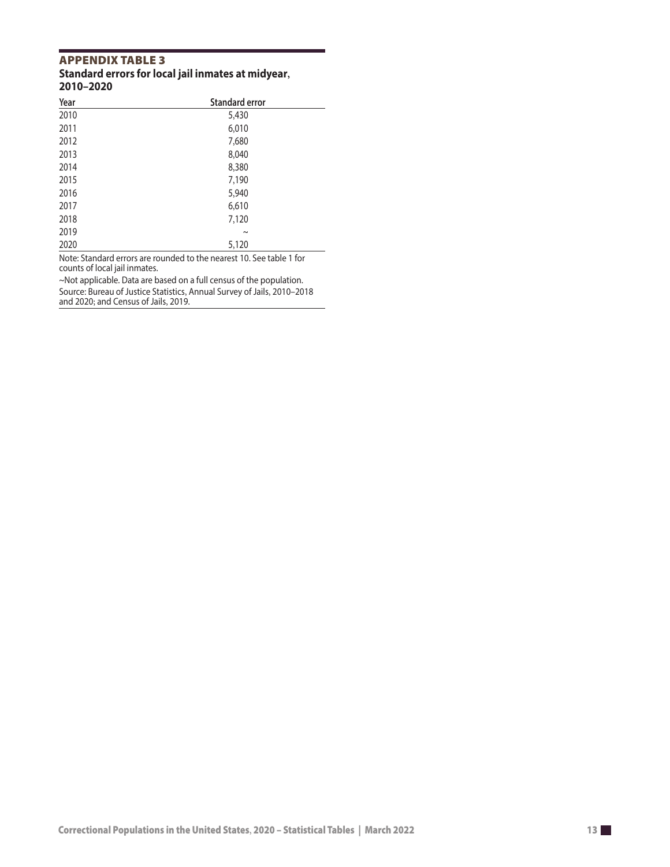# **APPENDIX TABLE 3**<br>Standard errors for local jail inmates at midyear, 2010-2020

| Year | <b>Standard error</b> |  |
|------|-----------------------|--|
| 2010 | 5,430                 |  |
| 2011 | 6,010                 |  |
| 2012 | 7,680                 |  |
| 2013 | 8,040                 |  |
| 2014 | 8,380                 |  |
| 2015 | 7,190                 |  |
| 2016 | 5,940                 |  |
| 2017 | 6,610                 |  |
| 2018 | 7,120                 |  |
| 2019 | $\tilde{\phantom{a}}$ |  |
| 2020 | 5,120                 |  |

Note: Standard errors are rounded to the nearest 10. See table 1 for counts of local jail inmates.

~Not applicable. Data are based on a full census of the population.

Source: Bureau of Justice Statistics, Annual Survey of Jails, 2010–2018 and 2020; and Census of Jails, 2019.